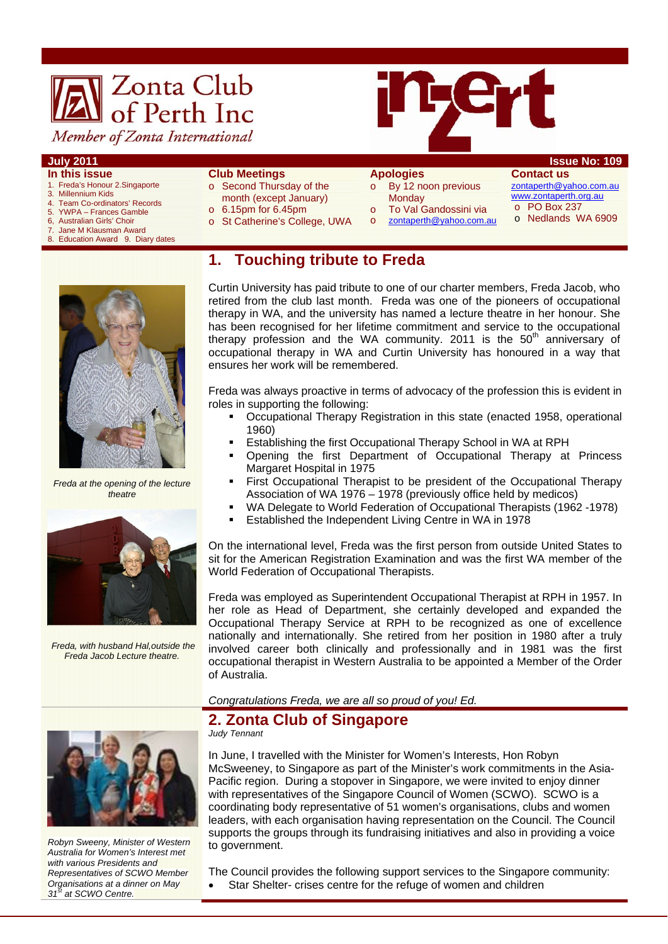# **A** Zonta Club<br>of Perth Inc Member of Zonta International



#### **July 2011 Issue No: 109**

- **In this issue**
- 1. Freda's Honour 2.Singaporte 3. Millennium Kids
- 4. Team Co-ordinators' Records
- 5. YWPA Frances Gamble
- 6, Australian Girls' Choir<br>7. Jane M Klausman Awa
- **Jane M Klausman Award**
- Education Award 9. Diary dates

#### **Club Meetings**

- o Second Thursday of the
- month (except January)
- $\circ$  6.15pm for 6.45pm
- o St Catherine's College, UWA

## **Apologies**

- o By 12 noon previous **Monday**
- To Val Gandossini via
- o zontaperth@yahoo.com.au
- **Contact us**  zontaperth@yahoo.com.au www.zontaperth.org.au o PO Box 237 o Nedlands WA 6909
- **1. Touching tribute to Freda**



*Freda at the opening of the lecture theatre* 



 *Freda, with husband Hal,outside the Freda Jacob Lecture theatre.* 

Curtin University has paid tribute to one of our charter members, Freda Jacob, who retired from the club last month. Freda was one of the pioneers of occupational therapy in WA, and the university has named a lecture theatre in her honour. She has been recognised for her lifetime commitment and service to the occupational therapy profession and the WA community. 2011 is the  $50<sup>th</sup>$  anniversary of occupational therapy in WA and Curtin University has honoured in a way that ensures her work will be remembered.

Freda was always proactive in terms of advocacy of the profession this is evident in roles in supporting the following:

- Occupational Therapy Registration in this state (enacted 1958, operational 1960)
- Establishing the first Occupational Therapy School in WA at RPH
- Opening the first Department of Occupational Therapy at Princess Margaret Hospital in 1975
- **First Occupational Therapist to be president of the Occupational Therapy** Association of WA 1976 – 1978 (previously office held by medicos)
- WA Delegate to World Federation of Occupational Therapists (1962 -1978)
- Established the Independent Living Centre in WA in 1978

On the international level, Freda was the first person from outside United States to sit for the American Registration Examination and was the first WA member of the World Federation of Occupational Therapists.

Freda was employed as Superintendent Occupational Therapist at RPH in 1957. In her role as Head of Department, she certainly developed and expanded the Occupational Therapy Service at RPH to be recognized as one of excellence nationally and internationally. She retired from her position in 1980 after a truly involved career both clinically and professionally and in 1981 was the first occupational therapist in Western Australia to be appointed a Member of the Order of Australia.

*Congratulations Freda, we are all so proud of you! Ed.* 

# **2. Zonta Club of Singapore**

*Judy Tennant* 

In June, I travelled with the Minister for Women's Interests, Hon Robyn McSweeney, to Singapore as part of the Minister's work commitments in the Asia-Pacific region. During a stopover in Singapore, we were invited to enjoy dinner with representatives of the Singapore Council of Women (SCWO). SCWO is a coordinating body representative of 51 women's organisations, clubs and women leaders, with each organisation having representation on the Council. The Council supports the groups through its fundraising initiatives and also in providing a voice to government.

The Council provides the following support services to the Singapore community:

• Star Shelter- crises centre for the refuge of women and children



*Representatives of SCWO Member Organisations at a dinner on May* 

*31st at SCWO Centre.*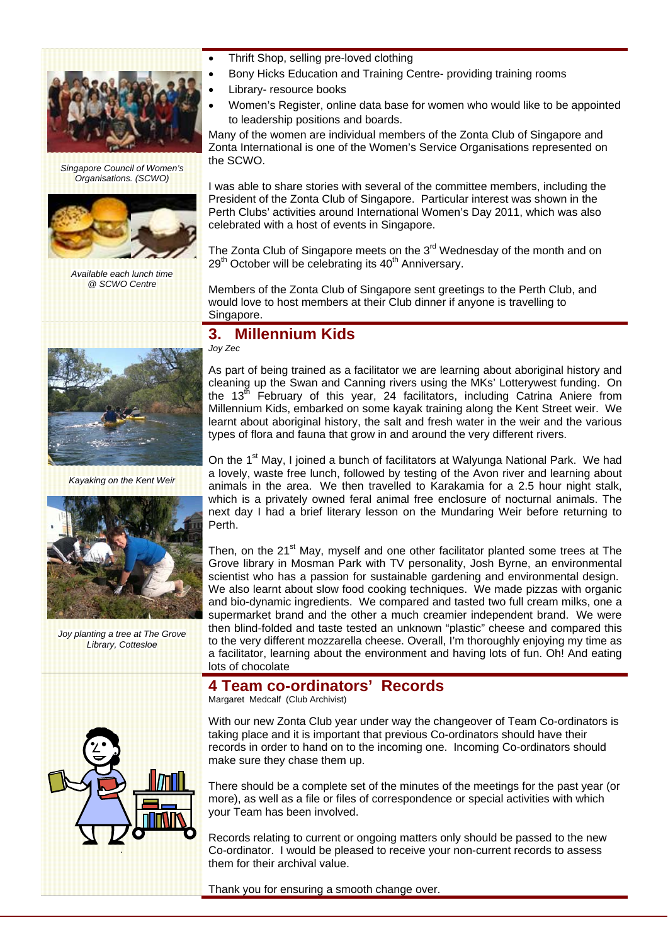

*Singapore Council of Women's Organisations. (SCWO)* 



*Available each lunch time @ SCWO Centre* 

*Kayaking on the Kent Weir* 

*Joy planting a tree at The Grove Library, Cottesloe* 

- Thrift Shop, selling pre-loved clothing
- Bony Hicks Education and Training Centre- providing training rooms
- Library- resource books
- Women's Register, online data base for women who would like to be appointed to leadership positions and boards.

Many of the women are individual members of the Zonta Club of Singapore and Zonta International is one of the Women's Service Organisations represented on the SCWO.

I was able to share stories with several of the committee members, including the President of the Zonta Club of Singapore. Particular interest was shown in the Perth Clubs' activities around International Women's Day 2011, which was also celebrated with a host of events in Singapore.

The Zonta Club of Singapore meets on the  $3<sup>rd</sup>$  Wednesday of the month and on  $29<sup>th</sup>$  October will be celebrating its  $40<sup>th</sup>$  Anniversary.

Members of the Zonta Club of Singapore sent greetings to the Perth Club, and would love to host members at their Club dinner if anyone is travelling to Singapore.

# **3. Millennium Kids**

*Joy Zec* 

As part of being trained as a facilitator we are learning about aboriginal history and cleaning up the Swan and Canning rivers using the MKs' Lotterywest funding. On the 13<sup>th</sup> February of this year, 24 facilitators, including Catrina Aniere from Millennium Kids, embarked on some kayak training along the Kent Street weir. We learnt about aboriginal history, the salt and fresh water in the weir and the various types of flora and fauna that grow in and around the very different rivers.

On the 1<sup>st</sup> May, I joined a bunch of facilitators at Walyunga National Park. We had a lovely, waste free lunch, followed by testing of the Avon river and learning about animals in the area. We then travelled to Karakamia for a 2.5 hour night stalk, which is a privately owned feral animal free enclosure of nocturnal animals. The next day I had a brief literary lesson on the Mundaring Weir before returning to Perth.

Then, on the 21<sup>st</sup> May, myself and one other facilitator planted some trees at The Grove library in Mosman Park with TV personality, Josh Byrne, an environmental scientist who has a passion for sustainable gardening and environmental design. We also learnt about slow food cooking techniques. We made pizzas with organic and bio-dynamic ingredients. We compared and tasted two full cream milks, one a supermarket brand and the other a much creamier independent brand. We were then blind-folded and taste tested an unknown "plastic" cheese and compared this to the very different mozzarella cheese. Overall, I'm thoroughly enjoying my time as a facilitator, learning about the environment and having lots of fun. Oh! And eating lots of chocolate

# **4 Team co-ordinators' Records**

Margaret Medcalf (Club Archivist)



With our new Zonta Club year under way the changeover of Team Co-ordinators is taking place and it is important that previous Co-ordinators should have their records in order to hand on to the incoming one. Incoming Co-ordinators should make sure they chase them up.

There should be a complete set of the minutes of the meetings for the past year (or more), as well as a file or files of correspondence or special activities with which your Team has been involved.

Records relating to current or ongoing matters only should be passed to the new Co-ordinator. I would be pleased to receive your non-current records to assess them for their archival value.

Thank you for ensuring a smooth change over.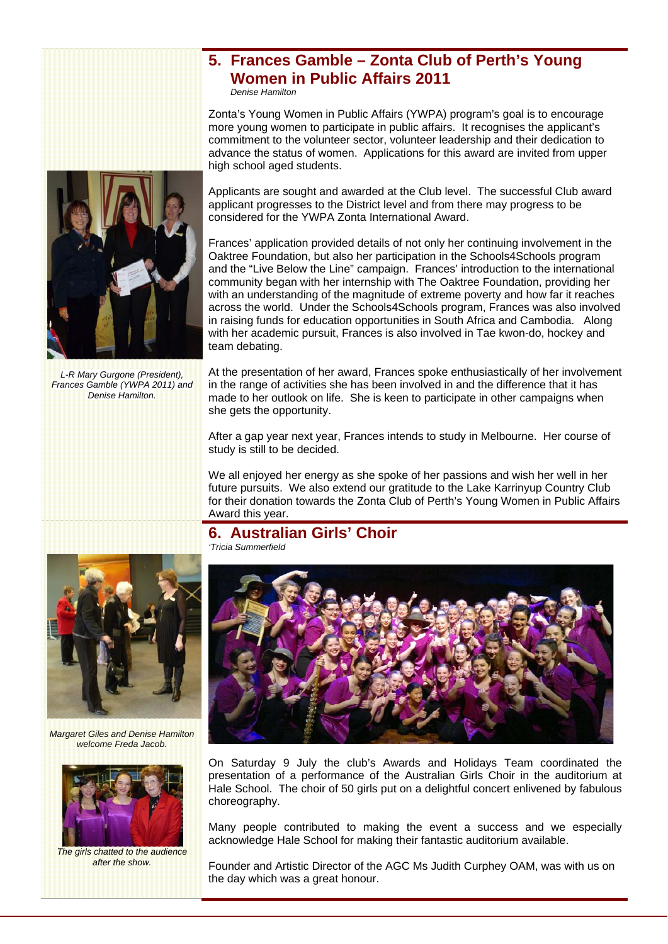# **5. Frances Gamble – Zonta Club of Perth's Young Women in Public Affairs 2011**

*Denise Hamilton*

Zonta's Young Women in Public Affairs (YWPA) program's goal is to encourage more young women to participate in public affairs. It recognises the applicant's commitment to the volunteer sector, volunteer leadership and their dedication to advance the status of women. Applications for this award are invited from upper high school aged students.

Applicants are sought and awarded at the Club level. The successful Club award applicant progresses to the District level and from there may progress to be considered for the YWPA Zonta International Award.

Frances' application provided details of not only her continuing involvement in the Oaktree Foundation, but also her participation in the Schools4Schools program and the "Live Below the Line" campaign. Frances' introduction to the international community began with her internship with The Oaktree Foundation, providing her with an understanding of the magnitude of extreme poverty and how far it reaches across the world. Under the Schools4Schools program, Frances was also involved in raising funds for education opportunities in South Africa and Cambodia. Along with her academic pursuit, Frances is also involved in Tae kwon-do, hockey and team debating.

At the presentation of her award, Frances spoke enthusiastically of her involvement in the range of activities she has been involved in and the difference that it has made to her outlook on life. She is keen to participate in other campaigns when she gets the opportunity.

After a gap year next year, Frances intends to study in Melbourne. Her course of study is still to be decided.

We all enjoyed her energy as she spoke of her passions and wish her well in her future pursuits. We also extend our gratitude to the Lake Karrinyup Country Club for their donation towards the Zonta Club of Perth's Young Women in Public Affairs Award this year.

# **6. Australian Girls' Choir**

*Margaret Giles and Denise Hamilton welcome Freda Jacob.* 



*The girls chatted to the audience after the show.* 

*'Tricia Summerfield* 



On Saturday 9 July the club's Awards and Holidays Team coordinated the presentation of a performance of the Australian Girls Choir in the auditorium at Hale School. The choir of 50 girls put on a delightful concert enlivened by fabulous choreography.

Many people contributed to making the event a success and we especially acknowledge Hale School for making their fantastic auditorium available.

Founder and Artistic Director of the AGC Ms Judith Curphey OAM, was with us on the day which was a great honour.